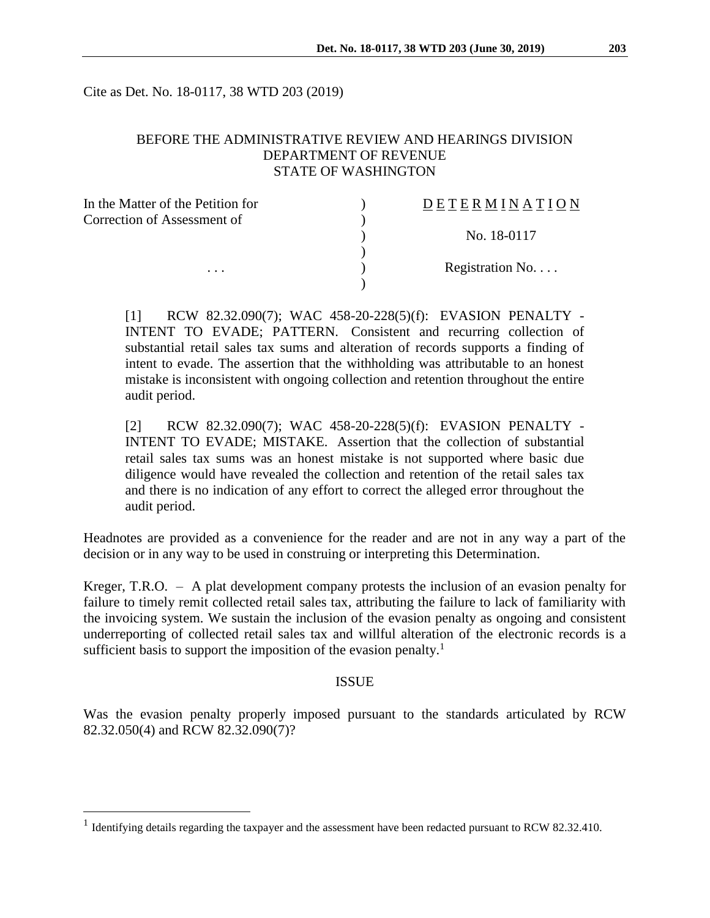Cite as Det. No. 18-0117, 38 WTD 203 (2019)

## BEFORE THE ADMINISTRATIVE REVIEW AND HEARINGS DIVISION DEPARTMENT OF REVENUE STATE OF WASHINGTON

| In the Matter of the Petition for | DETERMINATION   |
|-----------------------------------|-----------------|
| Correction of Assessment of       |                 |
|                                   | No. 18-0117     |
|                                   |                 |
| $\cdots$                          | Registration No |
|                                   |                 |

[1] RCW 82.32.090(7); WAC 458-20-228(5)(f): EVASION PENALTY - INTENT TO EVADE; PATTERN. Consistent and recurring collection of substantial retail sales tax sums and alteration of records supports a finding of intent to evade. The assertion that the withholding was attributable to an honest mistake is inconsistent with ongoing collection and retention throughout the entire audit period.

[2] RCW 82.32.090(7); WAC 458-20-228(5)(f): EVASION PENALTY - INTENT TO EVADE; MISTAKE. Assertion that the collection of substantial retail sales tax sums was an honest mistake is not supported where basic due diligence would have revealed the collection and retention of the retail sales tax and there is no indication of any effort to correct the alleged error throughout the audit period.

Headnotes are provided as a convenience for the reader and are not in any way a part of the decision or in any way to be used in construing or interpreting this Determination.

Kreger, T.R.O. – A plat development company protests the inclusion of an evasion penalty for failure to timely remit collected retail sales tax, attributing the failure to lack of familiarity with the invoicing system. We sustain the inclusion of the evasion penalty as ongoing and consistent underreporting of collected retail sales tax and willful alteration of the electronic records is a sufficient basis to support the imposition of the evasion penalty.<sup>1</sup>

#### ISSUE

Was the evasion penalty properly imposed pursuant to the standards articulated by RCW 82.32.050(4) and RCW 82.32.090(7)?

 $\overline{a}$ 

<sup>&</sup>lt;sup>1</sup> Identifying details regarding the taxpayer and the assessment have been redacted pursuant to RCW 82.32.410.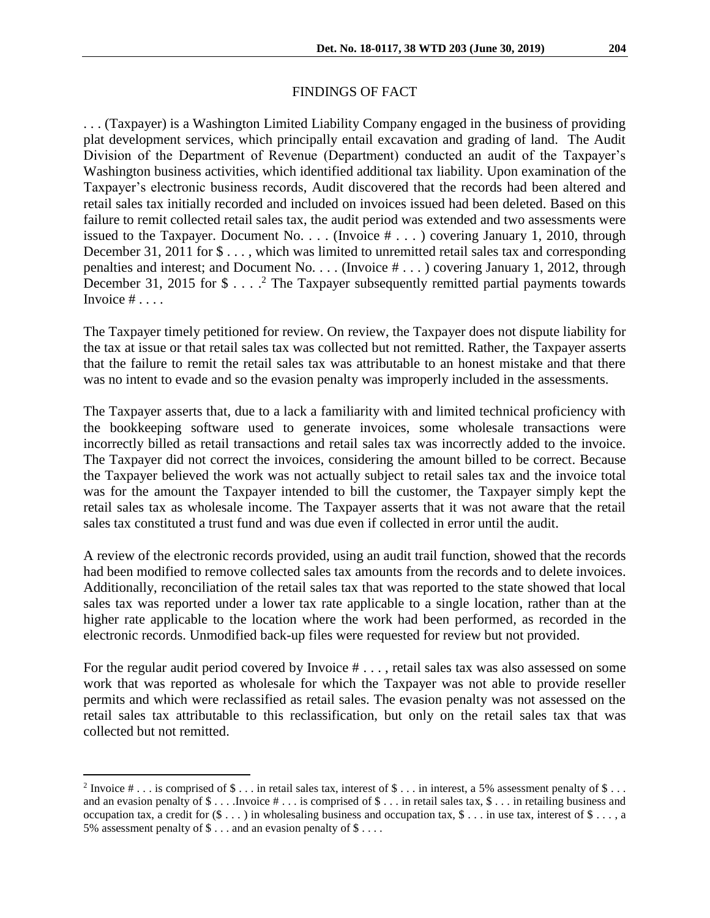### FINDINGS OF FACT

. . . (Taxpayer) is a Washington Limited Liability Company engaged in the business of providing plat development services, which principally entail excavation and grading of land. The Audit Division of the Department of Revenue (Department) conducted an audit of the Taxpayer's Washington business activities, which identified additional tax liability. Upon examination of the Taxpayer's electronic business records, Audit discovered that the records had been altered and retail sales tax initially recorded and included on invoices issued had been deleted. Based on this failure to remit collected retail sales tax, the audit period was extended and two assessments were issued to the Taxpayer. Document No. . . . (Invoice # . . . ) covering January 1, 2010, through December 31, 2011 for  $\frac{1}{2}$ ..., which was limited to unremitted retail sales tax and corresponding penalties and interest; and Document No. . . . (Invoice # . . . ) covering January 1, 2012, through December 31, 2015 for  $\$\ldots$ .<sup>2</sup> The Taxpayer subsequently remitted partial payments towards Invoice  $\# \ldots$ .

The Taxpayer timely petitioned for review. On review, the Taxpayer does not dispute liability for the tax at issue or that retail sales tax was collected but not remitted. Rather, the Taxpayer asserts that the failure to remit the retail sales tax was attributable to an honest mistake and that there was no intent to evade and so the evasion penalty was improperly included in the assessments.

The Taxpayer asserts that, due to a lack a familiarity with and limited technical proficiency with the bookkeeping software used to generate invoices, some wholesale transactions were incorrectly billed as retail transactions and retail sales tax was incorrectly added to the invoice. The Taxpayer did not correct the invoices, considering the amount billed to be correct. Because the Taxpayer believed the work was not actually subject to retail sales tax and the invoice total was for the amount the Taxpayer intended to bill the customer, the Taxpayer simply kept the retail sales tax as wholesale income. The Taxpayer asserts that it was not aware that the retail sales tax constituted a trust fund and was due even if collected in error until the audit.

A review of the electronic records provided, using an audit trail function, showed that the records had been modified to remove collected sales tax amounts from the records and to delete invoices. Additionally, reconciliation of the retail sales tax that was reported to the state showed that local sales tax was reported under a lower tax rate applicable to a single location, rather than at the higher rate applicable to the location where the work had been performed, as recorded in the electronic records. Unmodified back-up files were requested for review but not provided.

For the regular audit period covered by Invoice  $# \ldots$ , retail sales tax was also assessed on some work that was reported as wholesale for which the Taxpayer was not able to provide reseller permits and which were reclassified as retail sales. The evasion penalty was not assessed on the retail sales tax attributable to this reclassification, but only on the retail sales tax that was collected but not remitted.

 $\overline{a}$ 

<sup>&</sup>lt;sup>2</sup> Invoice  $\# \dots$  is comprised of  $\$\dots$  in retail sales tax, interest of  $\$\dots$  in interest, a 5% assessment penalty of  $\$\dots$ and an evasion penalty of  $\$\dots$  . Invoice  $\# \dots$  is comprised of  $\$\dots$  in retail sales tax,  $\$\dots$  in retailing business and occupation tax, a credit for  $(\$\dots)$  in wholesaling business and occupation tax,  $\$\dots$  in use tax, interest of  $\$\dots$ , a 5% assessment penalty of \$ . . . and an evasion penalty of \$ . . . .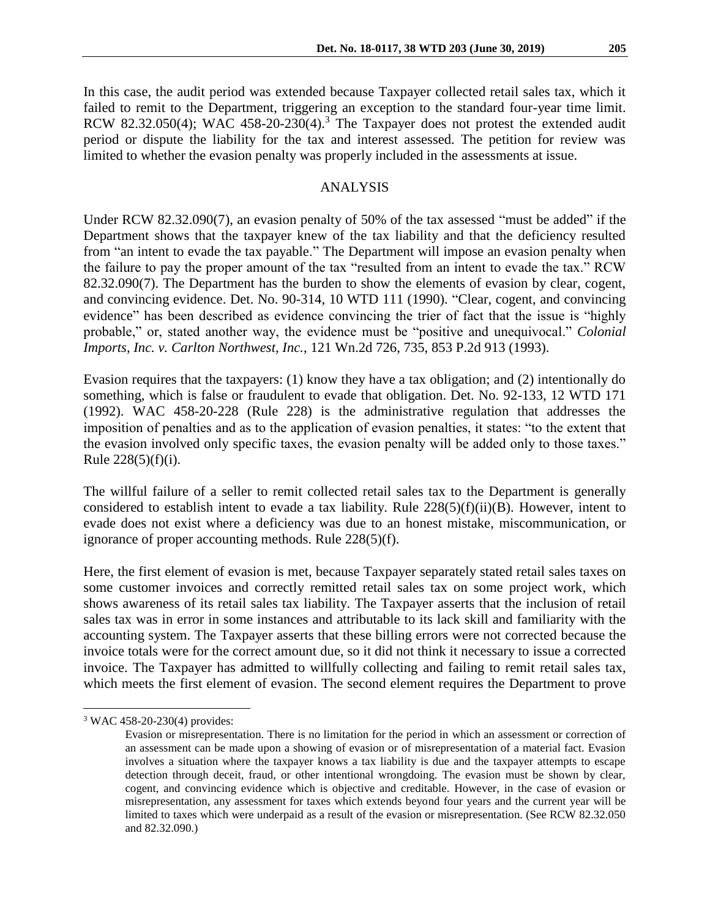In this case, the audit period was extended because Taxpayer collected retail sales tax, which it failed to remit to the Department, triggering an exception to the standard four-year time limit. RCW 82.32.050(4); WAC 458-20-230(4).<sup>3</sup> The Taxpayer does not protest the extended audit period or dispute the liability for the tax and interest assessed. The petition for review was limited to whether the evasion penalty was properly included in the assessments at issue.

#### ANALYSIS

Under RCW 82.32.090(7), an evasion penalty of 50% of the tax assessed "must be added" if the Department shows that the taxpayer knew of the tax liability and that the deficiency resulted from "an intent to evade the tax payable." The Department will impose an evasion penalty when the failure to pay the proper amount of the tax "resulted from an intent to evade the tax." RCW 82.32.090(7). The Department has the burden to show the elements of evasion by clear, cogent, and convincing evidence. Det. No. 90-314, 10 WTD 111 (1990). "Clear, cogent, and convincing evidence" has been described as evidence convincing the trier of fact that the issue is "highly probable," or, stated another way, the evidence must be "positive and unequivocal." *Colonial Imports, Inc. v. Carlton Northwest, Inc.*, 121 Wn.2d 726, 735, 853 P.2d 913 (1993).

Evasion requires that the taxpayers: (1) know they have a tax obligation; and (2) intentionally do something, which is false or fraudulent to evade that obligation. Det. No. 92-133, 12 WTD 171 (1992). WAC 458-20-228 (Rule 228) is the administrative regulation that addresses the imposition of penalties and as to the application of evasion penalties, it states: "to the extent that the evasion involved only specific taxes, the evasion penalty will be added only to those taxes." Rule  $228(5)(f)(i)$ .

The willful failure of a seller to remit collected retail sales tax to the Department is generally considered to establish intent to evade a tax liability. Rule 228(5)(f)(ii)(B). However, intent to evade does not exist where a deficiency was due to an honest mistake, miscommunication, or ignorance of proper accounting methods. Rule 228(5)(f).

Here, the first element of evasion is met, because Taxpayer separately stated retail sales taxes on some customer invoices and correctly remitted retail sales tax on some project work, which shows awareness of its retail sales tax liability. The Taxpayer asserts that the inclusion of retail sales tax was in error in some instances and attributable to its lack skill and familiarity with the accounting system. The Taxpayer asserts that these billing errors were not corrected because the invoice totals were for the correct amount due, so it did not think it necessary to issue a corrected invoice. The Taxpayer has admitted to willfully collecting and failing to remit retail sales tax, which meets the first element of evasion. The second element requires the Department to prove

 $\overline{a}$ 

<sup>3</sup> WAC 458-20-230(4) provides:

Evasion or misrepresentation. There is no limitation for the period in which an assessment or correction of an assessment can be made upon a showing of evasion or of misrepresentation of a material fact. Evasion involves a situation where the taxpayer knows a tax liability is due and the taxpayer attempts to escape detection through deceit, fraud, or other intentional wrongdoing. The evasion must be shown by clear, cogent, and convincing evidence which is objective and creditable. However, in the case of evasion or misrepresentation, any assessment for taxes which extends beyond four years and the current year will be limited to taxes which were underpaid as a result of the evasion or misrepresentation. (See RCW 82.32.050 and 82.32.090.)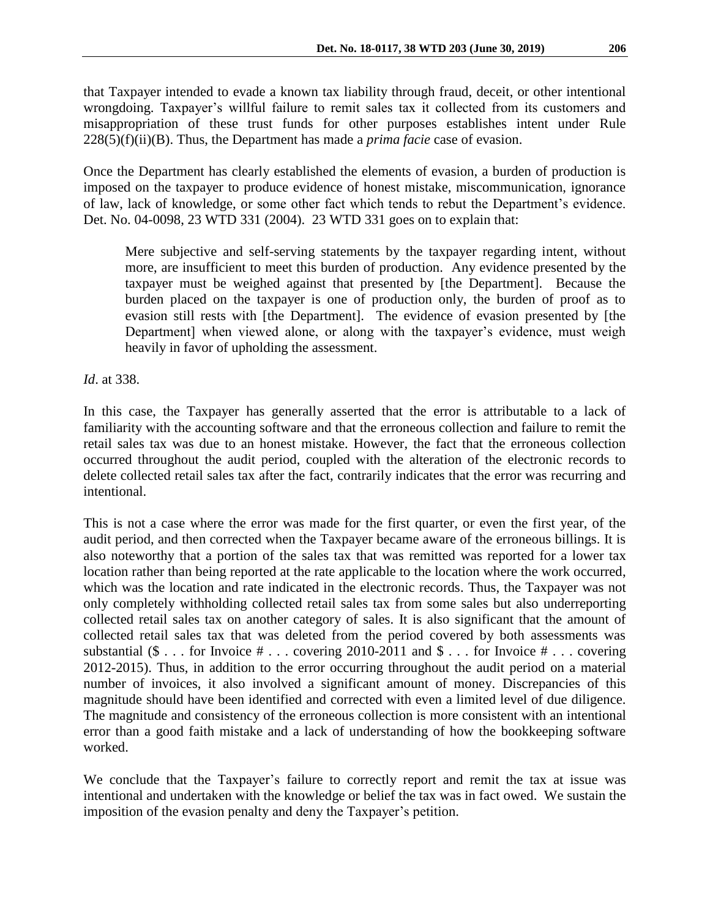that Taxpayer intended to evade a known tax liability through fraud, deceit, or other intentional wrongdoing. Taxpayer's willful failure to remit sales tax it collected from its customers and misappropriation of these trust funds for other purposes establishes intent under Rule 228(5)(f)(ii)(B). Thus, the Department has made a *prima facie* case of evasion.

Once the Department has clearly established the elements of evasion, a burden of production is imposed on the taxpayer to produce evidence of honest mistake, miscommunication, ignorance of law, lack of knowledge, or some other fact which tends to rebut the Department's evidence. Det. No. 04-0098, 23 WTD 331 (2004). 23 WTD 331 goes on to explain that:

Mere subjective and self-serving statements by the taxpayer regarding intent, without more, are insufficient to meet this burden of production. Any evidence presented by the taxpayer must be weighed against that presented by [the Department]. Because the burden placed on the taxpayer is one of production only, the burden of proof as to evasion still rests with [the Department]. The evidence of evasion presented by [the Department] when viewed alone, or along with the taxpayer's evidence, must weigh heavily in favor of upholding the assessment.

*Id*. at 338.

In this case, the Taxpayer has generally asserted that the error is attributable to a lack of familiarity with the accounting software and that the erroneous collection and failure to remit the retail sales tax was due to an honest mistake. However, the fact that the erroneous collection occurred throughout the audit period, coupled with the alteration of the electronic records to delete collected retail sales tax after the fact, contrarily indicates that the error was recurring and intentional.

This is not a case where the error was made for the first quarter, or even the first year, of the audit period, and then corrected when the Taxpayer became aware of the erroneous billings. It is also noteworthy that a portion of the sales tax that was remitted was reported for a lower tax location rather than being reported at the rate applicable to the location where the work occurred, which was the location and rate indicated in the electronic records. Thus, the Taxpayer was not only completely withholding collected retail sales tax from some sales but also underreporting collected retail sales tax on another category of sales. It is also significant that the amount of collected retail sales tax that was deleted from the period covered by both assessments was substantial  $(\$ \dots$  for Invoice  $\# \dots$  covering 2010-2011 and  $\$ \dots$  for Invoice  $\# \dots$  covering 2012-2015). Thus, in addition to the error occurring throughout the audit period on a material number of invoices, it also involved a significant amount of money. Discrepancies of this magnitude should have been identified and corrected with even a limited level of due diligence. The magnitude and consistency of the erroneous collection is more consistent with an intentional error than a good faith mistake and a lack of understanding of how the bookkeeping software worked.

We conclude that the Taxpayer's failure to correctly report and remit the tax at issue was intentional and undertaken with the knowledge or belief the tax was in fact owed. We sustain the imposition of the evasion penalty and deny the Taxpayer's petition.